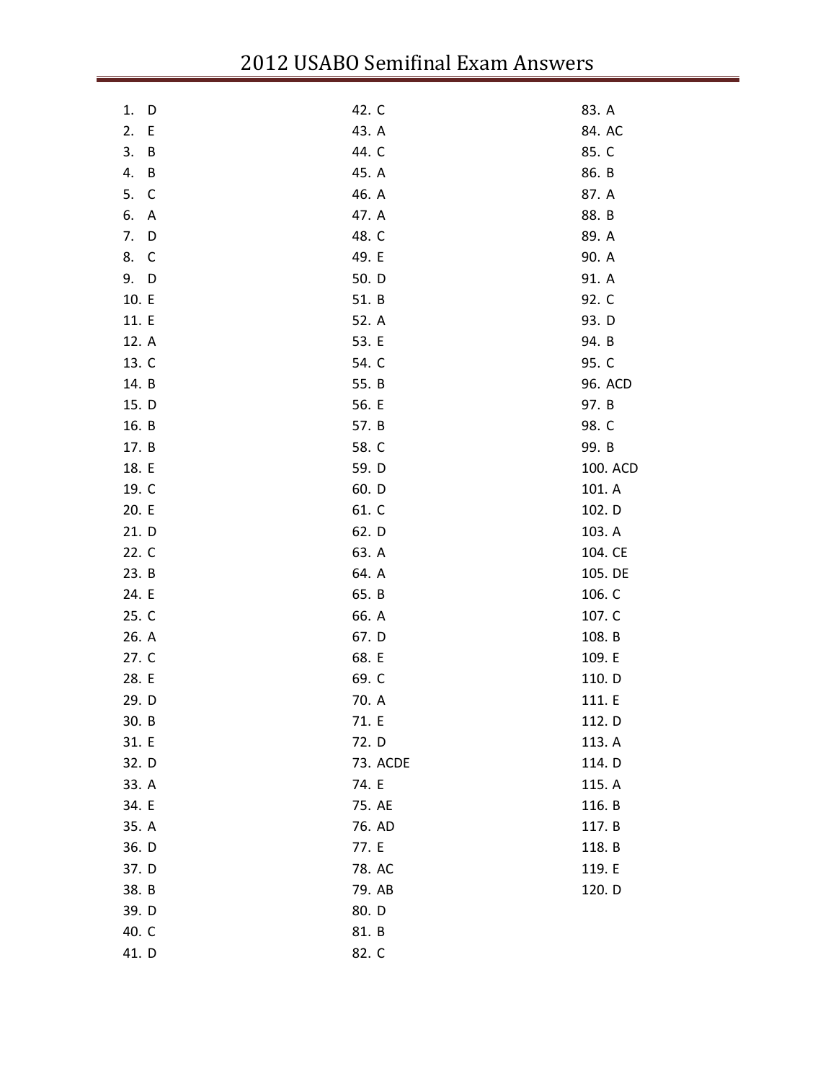| 1.<br>D | 42. C    | 83. A    |
|---------|----------|----------|
| 2.<br>E | 43. A    | 84. AC   |
| 3.<br>B | 44. C    | 85. C    |
| 4.<br>B | 45. A    | 86. B    |
| 5.<br>C | 46. A    | 87. A    |
| 6.<br>A | 47. A    | 88. B    |
| 7.<br>D | 48. C    | 89. A    |
| 8.<br>C | 49. E    | 90. A    |
| 9. D    | 50. D    | 91. A    |
| 10. E   | 51. B    | 92. C    |
| 11. E   | 52. A    | 93. D    |
| 12. A   | 53. E    | 94. B    |
| 13. C   | 54. C    | 95. C    |
| 14. B   | 55. B    | 96. ACD  |
| 15. D   | 56. E    | 97. B    |
| 16. B   | 57. B    | 98. C    |
| 17. B   | 58. C    | 99. B    |
| 18. E   | 59. D    | 100. ACD |
| 19. C   | 60. D    | 101. A   |
| 20. E   | 61. C    | 102. D   |
| 21. D   | 62. D    | 103. A   |
| 22. C   | 63. A    | 104. CE  |
| 23. B   | 64. A    | 105. DE  |
| 24. E   | 65. B    | 106. C   |
| 25. C   | 66. A    | 107. C   |
| 26. A   | 67. D    | 108. B   |
| 27. C   | 68. E    | 109. E   |
| 28. E   | 69. C    | 110. D   |
| 29. D   | 70. A    | 111. E   |
| 30. B   | 71. E    | 112. D   |
| 31. E   | 72. D    | 113. A   |
| 32. D   | 73. ACDE | 114. D   |
| 33. A   | 74. E    | 115. A   |
| 34. E   | 75. AE   | 116. B   |
| 35. A   | 76. AD   | 117. B   |
| 36. D   | 77. E    | 118. B   |
| 37. D   | 78. AC   | 119. E   |
| 38. B   | 79. AB   | 120. D   |
| 39. D   | 80. D    |          |
| 40. C   | 81. B    |          |
| 41. D   | 82. C    |          |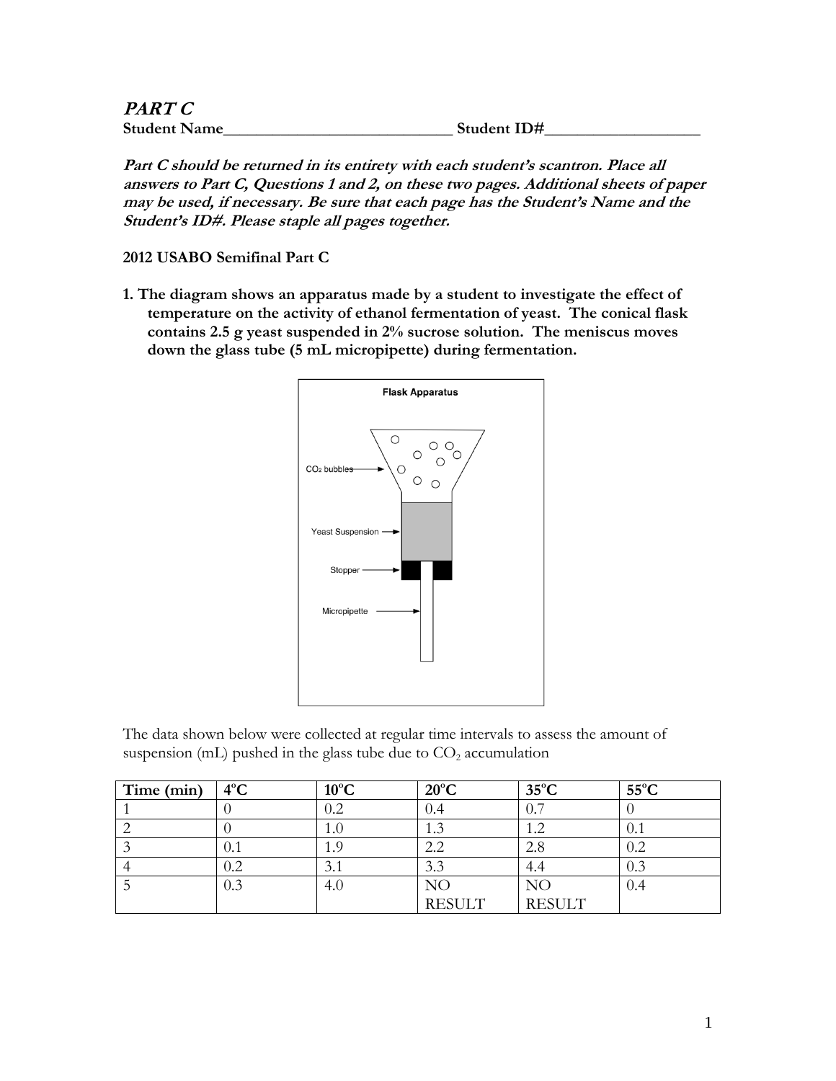| <b>PART C</b>       |             |
|---------------------|-------------|
| <b>Student Name</b> | Student ID# |

**Part C should be returned in its entirety with each student's scantron. Place all answers to Part C, Questions 1 and 2, on these two pages. Additional sheets of paper may be used, if necessary. Be sure that each page has the Student's Name and the Student's ID#. Please staple all pages together.**

**2012 USABO Semifinal Part C**

**1. The diagram shows an apparatus made by a student to investigate the effect of temperature on the activity of ethanol fermentation of yeast. The conical flask contains 2.5 g yeast suspended in 2% sucrose solution. The meniscus moves down the glass tube (5 mL micropipette) during fermentation.**



The data shown below were collected at regular time intervals to assess the amount of suspension (mL) pushed in the glass tube due to  $CO<sub>2</sub>$  accumulation

| Time (min) | $4^{\circ}$ C | $10^{\circ}$ C | $20^{\circ}$ C | $35^{\circ}$ C | $55^{\circ}$ C |
|------------|---------------|----------------|----------------|----------------|----------------|
|            |               | $0.2\,$        | 0.4            | 0.7            |                |
|            |               | 1.0            |                | 1.2            | 0.1            |
|            | 0.1           | 1.9            | 2.2            | 2.8            | 0.2            |
|            | $0.2\,$       | 3.1            | 3.3            | 4.4            | 0.3            |
|            | 0.3           | 4.0            | NC             | NO             | 0.4            |
|            |               |                | <b>RESULT</b>  | <b>RESULT</b>  |                |